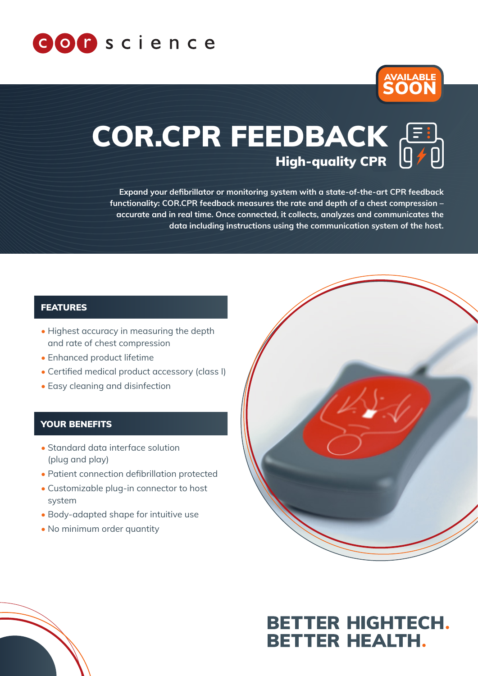



# High-quality CPR COR.CPR FEEDBACK

Expand your defibrillator or monitoring system with a state-of-the-art CPR feedback functionality: COR.CPR feedback measures the rate and depth of a chest compression – accurate and in real time. Once connected, it collects, analyzes and communicates the data including instructions using the communication system of the host.

#### FEATURES

- Highest accuracy in measuring the depth and rate of chest compression
- Enhanced product lifetime
- Certified medical product accessory (class I)
- Easy cleaning and disinfection

#### YOUR BENEFITS

- Standard data interface solution (plug and play)
- Patient connection defibrillation protected
- Customizable plug-in connector to host system
- Body-adapted shape for intuitive use
- No minimum order quantity



## **BETTER HIGHTECH. BETTER HEALTH.**